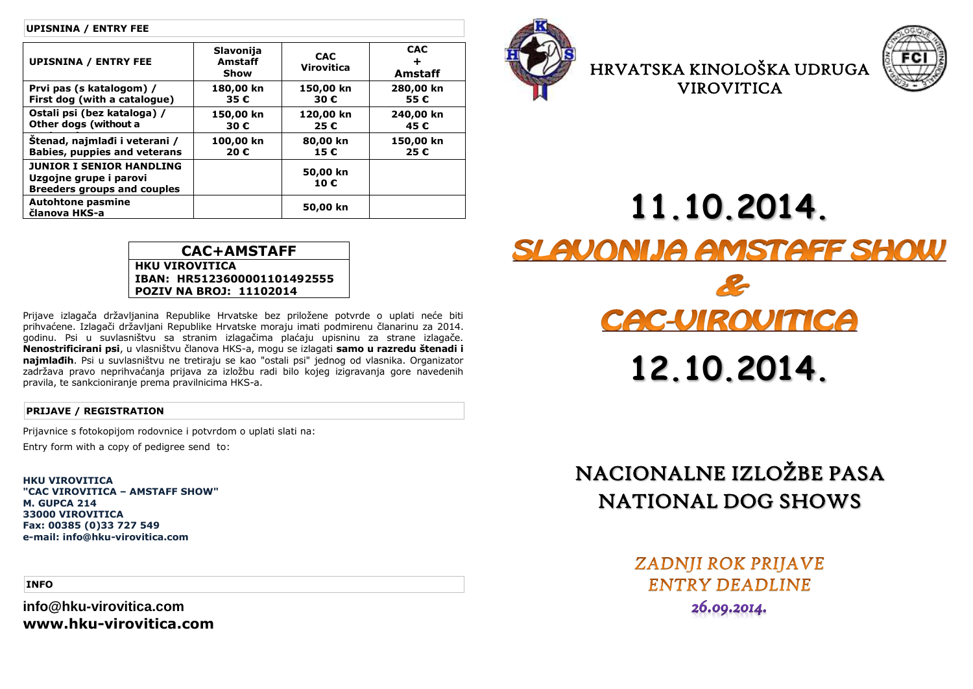#### **UPISNINA / ENTRY FEE**

| <b>UPISNINA / ENTRY FEE</b>                                                                     | Slavonija<br>Amstaff<br>Show | <b>CAC</b><br><b>Virovitica</b> | <b>CAC</b><br>÷<br><b>Amstaff</b> |
|-------------------------------------------------------------------------------------------------|------------------------------|---------------------------------|-----------------------------------|
| Prvi pas (s katalogom) /<br>First dog (with a catalogue)                                        | 180,00 kn<br>35€             | 150,00 kn<br>30€                | 280,00 kn<br>55€                  |
| Ostali psi (bez kataloga) /<br>Other dogs (without a                                            | 150,00 kn<br>30€             | 120,00 kn<br>25€                | 240,00 kn<br>45€                  |
| Štenad, najmlađi i veterani /<br><b>Babies, puppies and veterans</b>                            | 100,00 kn<br>20€             | 80,00 kn<br>15€                 | 150,00 kn<br>25€                  |
| <b>JUNIOR I SENIOR HANDLING</b><br>Uzgojne grupe i parovi<br><b>Breeders groups and couples</b> |                              | 50,00 kn<br>10€                 |                                   |
| <b>Autohtone pasmine</b><br>članova HKS-a                                                       |                              | 50,00 kn                        |                                   |



HRVATSKA KINOLOŠKA UDRUGA VIROVITICA



**CAC+AMSTAFF IBAN: HR5123600001101492555 POZIV NA BROJ: 11102014**

Prijave izlagača državljanina Republike Hrvatske bez priložene potvrde o uplati neće biti prihvaćene. Izlagači državljani Republike Hrvatske moraju imati podmirenu članarinu za 2014. godinu. Psi u suvlasništvu sa stranim izlagačima plaćaju upisninu za strane izlagače. **Nenostrificirani psi**, u vlasništvu članova HKS-a, mogu se izlagati **samo u razredu štenadi i najmlađih**. Psi u suvlasništvu ne tretiraju se kao "ostali psi" jednog od vlasnika. Organizator zadržava pravo neprihvaćanja prijava za izložbu radi bilo kojeg izigravanja gore navedenih pravila, te sankcioniranje prema pravilnicima HKS-a.

### **PRIJAVE / REGISTRATION**

Prijavnice s fotokopijom rodovnice i potvrdom o uplati slati na:

**HKU VIROVITICA**

Entry form with a copy of pedigree send to:

**HKU VIROVITICA "CAC VIROVITICA – AMSTAFF SHOW" M. GUPCA 214 33000 VIROVITICA Fax: 00385 (0)33 727 549 e-mail: info@hku-virovitica.com**

**INFO**

**info@hku-virovitica.com www.hku-virovitica.com**



# NACIONALNE IZLOŽBE PASA NATIONAL DOG SHOWS

**ZADNJI ROK PRIJAVE ENTRY DEADLINE** 26.00.2014.